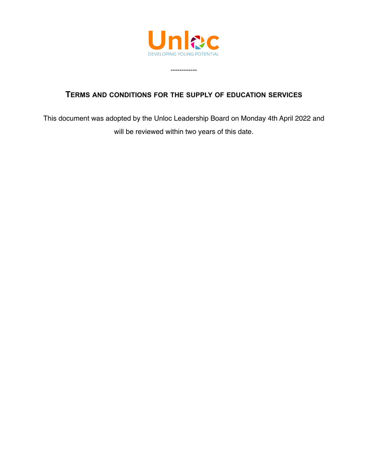

------------

## **TERMS AND CONDITIONS FOR THE SUPPLY OF EDUCATION SERVICES**

This document was adopted by the Unloc Leadership Board on Monday 4th April 2022 and will be reviewed within two years of this date.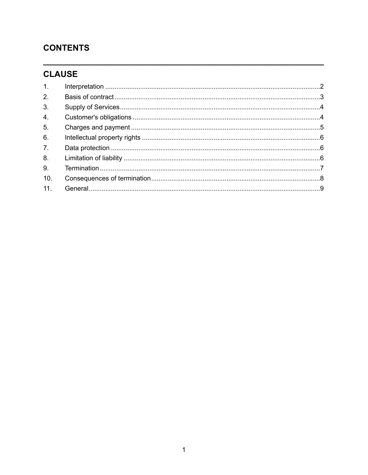## **CONTENTS**

# **CLAUSE**

| 1.             |  |
|----------------|--|
| 2.             |  |
| 3 <sub>1</sub> |  |
| 4.             |  |
| 5.             |  |
| 6.             |  |
| 7 <sup>1</sup> |  |
| 8.             |  |
| 9.             |  |
| 10.            |  |
| 11.            |  |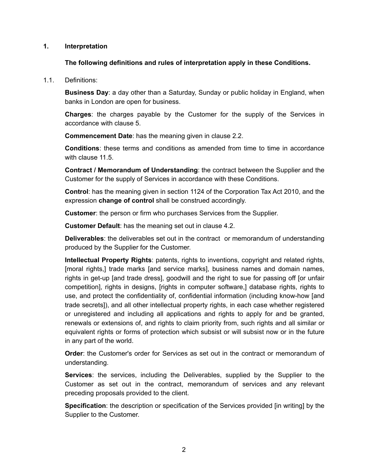#### **1. Interpretation**

#### <span id="page-2-0"></span>**The following definitions and rules of interpretation apply in these Conditions.**

1.1. Definitions:

**Business Day**: a day other than a Saturday, Sunday or public holiday in England, when banks in London are open for business.

**Charges**: the charges payable by the Customer for the supply of the Services in accordance with clause [5.](#page-5-0)

**Commencement Date**: has the meaning given in clause [2.2](#page-3-1).

**Conditions**: these terms and conditions as amended from time to time in accordance with clause [11.5](#page-10-0).

**Contract / Memorandum of Understanding**: the contract between the Supplier and the Customer for the supply of Services in accordance with these Conditions.

**Control**: has the meaning given in section 1124 of the Corporation Tax Act 2010, and the expression **change of control** shall be construed accordingly.

**Customer**: the person or firm who purchases Services from the Supplier.

**Customer Default**: has the meaning set out in clause [4.2](#page-5-1).

**Deliverables**: the deliverables set out in the contract or memorandum of understanding produced by the Supplier for the Customer.

**Intellectual Property Rights**: patents, rights to inventions, copyright and related rights, [moral rights,] trade marks [and service marks], business names and domain names, rights in get-up [and trade dress], goodwill and the right to sue for passing off [or unfair competition], rights in designs, [rights in computer software,] database rights, rights to use, and protect the confidentiality of, confidential information (including know-how [and trade secrets]), and all other intellectual property rights, in each case whether registered or unregistered and including all applications and rights to apply for and be granted, renewals or extensions of, and rights to claim priority from, such rights and all similar or equivalent rights or forms of protection which subsist or will subsist now or in the future in any part of the world.

**Order**: the Customer's order for Services as set out in the contract or memorandum of understanding.

**Services**: the services, including the Deliverables, supplied by the Supplier to the Customer as set out in the contract, memorandum of services and any relevant preceding proposals provided to the client.

**Specification**: the description or specification of the Services provided [in writing] by the Supplier to the Customer.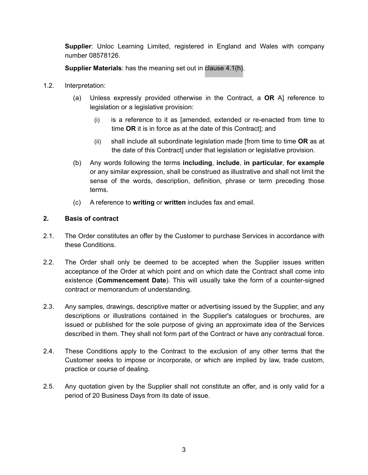**Supplier**: Unloc Learning Limited, registered in England and Wales with company number 08578126.

**Supplier Materials**: has the meaning set out in [clause 4.1\(h\).](#page-4-2)

- 1.2. Interpretation:
	- (a) Unless expressly provided otherwise in the Contract, a **OR** A] reference to legislation or a legislative provision:
		- (i) is a reference to it as [amended, extended or re-enacted from time to time **OR** it is in force as at the date of this Contract]; and
		- (ii) shall include all subordinate legislation made [from time to time **OR** as at the date of this Contract] under that legislation or legislative provision.
	- (b) Any words following the terms **including**, **include**, **in particular**, **for example** or any similar expression, shall be construed as illustrative and shall not limit the sense of the words, description, definition, phrase or term preceding those terms.
	- (c) A reference to **writing** or **written** includes fax and email.

### <span id="page-3-0"></span>**2. Basis of contract**

- 2.1. The Order constitutes an offer by the Customer to purchase Services in accordance with these Conditions.
- <span id="page-3-1"></span>2.2. The Order shall only be deemed to be accepted when the Supplier issues written acceptance of the Order at which point and on which date the Contract shall come into existence (**Commencement Date**). This will usually take the form of a counter-signed contract or memorandum of understanding.
- 2.3. Any samples, drawings, descriptive matter or advertising issued by the Supplier, and any descriptions or illustrations contained in the Supplier's catalogues or brochures, are issued or published for the sole purpose of giving an approximate idea of the Services described in them. They shall not form part of the Contract or have any contractual force.
- 2.4. These Conditions apply to the Contract to the exclusion of any other terms that the Customer seeks to impose or incorporate, or which are implied by law, trade custom, practice or course of dealing.
- 2.5. Any quotation given by the Supplier shall not constitute an offer, and is only valid for a period of 20 Business Days from its date of issue.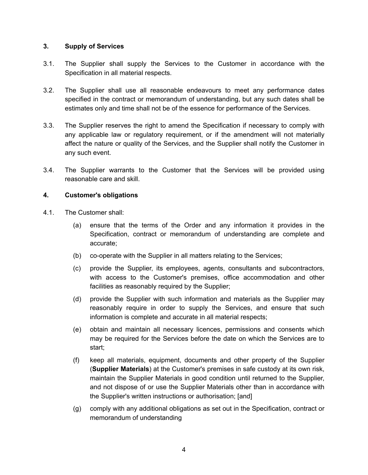### <span id="page-4-0"></span>**3. Supply of Services**

- 3.1. The Supplier shall supply the Services to the Customer in accordance with the Specification in all material respects.
- 3.2. The Supplier shall use all reasonable endeavours to meet any performance dates specified in the contract or memorandum of understanding, but any such dates shall be estimates only and time shall not be of the essence for performance of the Services.
- 3.3. The Supplier reserves the right to amend the Specification if necessary to comply with any applicable law or regulatory requirement, or if the amendment will not materially affect the nature or quality of the Services, and the Supplier shall notify the Customer in any such event.
- 3.4. The Supplier warrants to the Customer that the Services will be provided using reasonable care and skill.

## <span id="page-4-1"></span>**4. Customer's obligations**

- <span id="page-4-2"></span>4.1. The Customer shall:
	- (a) ensure that the terms of the Order and any information it provides in the Specification, contract or memorandum of understanding are complete and accurate;
	- (b) co-operate with the Supplier in all matters relating to the Services;
	- (c) provide the Supplier, its employees, agents, consultants and subcontractors, with access to the Customer's premises, office accommodation and other facilities as reasonably required by the Supplier;
	- (d) provide the Supplier with such information and materials as the Supplier may reasonably require in order to supply the Services, and ensure that such information is complete and accurate in all material respects;
	- (e) obtain and maintain all necessary licences, permissions and consents which may be required for the Services before the date on which the Services are to start;
	- (f) keep all materials, equipment, documents and other property of the Supplier (**Supplier Materials**) at the Customer's premises in safe custody at its own risk, maintain the Supplier Materials in good condition until returned to the Supplier, and not dispose of or use the Supplier Materials other than in accordance with the Supplier's written instructions or authorisation; [and]
	- (g) comply with any additional obligations as set out in the Specification, contract or memorandum of understanding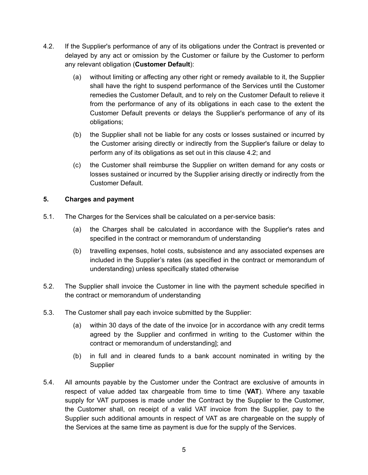- <span id="page-5-1"></span>4.2. If the Supplier's performance of any of its obligations under the Contract is prevented or delayed by any act or omission by the Customer or failure by the Customer to perform any relevant obligation (**Customer Default**):
	- (a) without limiting or affecting any other right or remedy available to it, the Supplier shall have the right to suspend performance of the Services until the Customer remedies the Customer Default, and to rely on the Customer Default to relieve it from the performance of any of its obligations in each case to the extent the Customer Default prevents or delays the Supplier's performance of any of its obligations;
	- (b) the Supplier shall not be liable for any costs or losses sustained or incurred by the Customer arising directly or indirectly from the Supplier's failure or delay to perform any of its obligations as set out in this clause [4.2](#page-5-1); and
	- (c) the Customer shall reimburse the Supplier on written demand for any costs or losses sustained or incurred by the Supplier arising directly or indirectly from the Customer Default.

## <span id="page-5-0"></span>**5. Charges and payment**

- 5.1. The Charges for the Services shall be calculated on a per-service basis:
	- (a) the Charges shall be calculated in accordance with the Supplier's rates and specified in the contract or memorandum of understanding
	- (b) travelling expenses, hotel costs, subsistence and any associated expenses are included in the Supplier's rates (as specified in the contract or memorandum of understanding) unless specifically stated otherwise
- 5.2. The Supplier shall invoice the Customer in line with the payment schedule specified in the contract or memorandum of understanding
- 5.3. The Customer shall pay each invoice submitted by the Supplier:
	- (a) within 30 days of the date of the invoice [or in accordance with any credit terms agreed by the Supplier and confirmed in writing to the Customer within the contract or memorandum of understanding]; and
	- (b) in full and in cleared funds to a bank account nominated in writing by the **Supplier**
- 5.4. All amounts payable by the Customer under the Contract are exclusive of amounts in respect of value added tax chargeable from time to time (**VAT**). Where any taxable supply for VAT purposes is made under the Contract by the Supplier to the Customer, the Customer shall, on receipt of a valid VAT invoice from the Supplier, pay to the Supplier such additional amounts in respect of VAT as are chargeable on the supply of the Services at the same time as payment is due for the supply of the Services.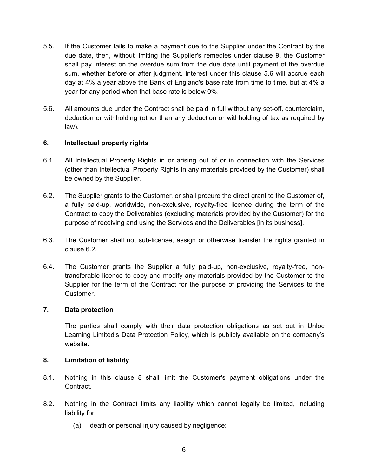- <span id="page-6-3"></span>5.5. If the Customer fails to make a payment due to the Supplier under the Contract by the due date, then, without limiting the Supplier's remedies under clause [9,](#page-7-0) the Customer shall pay interest on the overdue sum from the due date until payment of the overdue sum, whether before or after judgment. Interest under this clause [5.6](#page-6-3) will accrue each day at 4% a year above the Bank of England's base rate from time to time, but at 4% a year for any period when that base rate is below 0%.
- 5.6. All amounts due under the Contract shall be paid in full without any set-off, counterclaim, deduction or withholding (other than any deduction or withholding of tax as required by law).

## <span id="page-6-0"></span>**6. Intellectual property rights**

- 6.1. All Intellectual Property Rights in or arising out of or in connection with the Services (other than Intellectual Property Rights in any materials provided by the Customer) shall be owned by the Supplier.
- <span id="page-6-4"></span>6.2. The Supplier grants to the Customer, or shall procure the direct grant to the Customer of, a fully paid-up, worldwide, non-exclusive, royalty-free licence during the term of the Contract to copy the Deliverables (excluding materials provided by the Customer) for the purpose of receiving and using the Services and the Deliverables [in its business].
- 6.3. The Customer shall not sub-license, assign or otherwise transfer the rights granted in clause [6.2](#page-6-4)*.*
- 6.4. The Customer grants the Supplier a fully paid-up, non-exclusive, royalty-free, nontransferable licence to copy and modify any materials provided by the Customer to the Supplier for the term of the Contract for the purpose of providing the Services to the Customer.

#### **7. Data protection**

<span id="page-6-1"></span>The parties shall comply with their data protection obligations as set out in Unloc Learning Limited's Data Protection Policy, which is publicly available on the company's website.

#### <span id="page-6-2"></span>**8. Limitation of liability**

- 8.1. Nothing in this clause [8](#page-6-2) shall limit the Customer's payment obligations under the Contract.
- 8.2. Nothing in the Contract limits any liability which cannot legally be limited, including liability for:
	- (a) death or personal injury caused by negligence;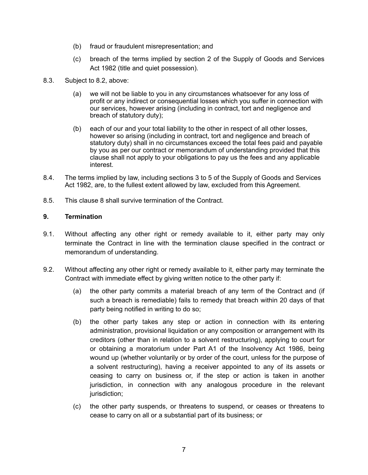- (b) fraud or fraudulent misrepresentation; and
- (c) breach of the terms implied by section 2 of the Supply of Goods and Services Act 1982 (title and quiet possession).
- 8.3. Subject to 8.2, above:
	- (a) we will not be liable to you in any circumstances whatsoever for any loss of profit or any indirect or consequential losses which you suffer in connection with our services, however arising (including in contract, tort and negligence and breach of statutory duty);
	- (b) each of our and your total liability to the other in respect of all other losses, however so arising (including in contract, tort and negligence and breach of statutory duty) shall in no circumstances exceed the total fees paid and payable by you as per our contract or memorandum of understanding provided that this clause shall not apply to your obligations to pay us the fees and any applicable interest.
- 8.4. The terms implied by law, including sections 3 to 5 of the Supply of Goods and Services Act 1982, are, to the fullest extent allowed by law, excluded from this Agreement.
- 8.5. This clause [8](#page-6-2) shall survive termination of the Contract.

#### <span id="page-7-0"></span>**9. Termination**

- 9.1. Without affecting any other right or remedy available to it, either party may only terminate the Contract in line with the termination clause specified in the contract or memorandum of understanding.
- <span id="page-7-2"></span><span id="page-7-1"></span>9.2. Without affecting any other right or remedy available to it, either party may terminate the Contract with immediate effect by giving written notice to the other party if:
	- (a) the other party commits a material breach of any term of the Contract and (if such a breach is remediable) fails to remedy that breach within 20 days of that party being notified in writing to do so;
	- (b) the other party takes any step or action in connection with its entering administration, provisional liquidation or any composition or arrangement with its creditors (other than in relation to a solvent restructuring), applying to court for or obtaining a moratorium under Part A1 of the Insolvency Act 1986, being wound up (whether voluntarily or by order of the court, unless for the purpose of a solvent restructuring), having a receiver appointed to any of its assets or ceasing to carry on business or, if the step or action is taken in another jurisdiction, in connection with any analogous procedure in the relevant jurisdiction;
	- (c) the other party suspends, or threatens to suspend, or ceases or threatens to cease to carry on all or a substantial part of its business; or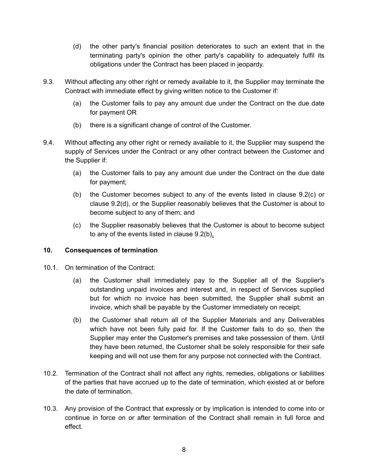- <span id="page-8-1"></span>(d) the other party's financial position deteriorates to such an extent that in the terminating party's opinion the other party's capability to adequately fulfil its obligations under the Contract has been placed in jeopardy.
- 9.3. Without affecting any other right or remedy available to it, the Supplier may terminate the Contract with immediate effect by giving written notice to the Customer if:
	- (a) the Customer fails to pay any amount due under the Contract on the due date for payment OR
	- (b) there is a significant change of control of the Customer.
- 9.4. Without affecting any other right or remedy available to it, the Supplier may suspend the supply of Services under the Contract or any other contract between the Customer and the Supplier if:
	- (a) the Customer fails to pay any amount due under the Contract on the due date for payment;
	- (b) the Customer becomes subject to any of the events listed in clause [9.2\(c\)](#page-7-1) or clause [9.2\(d\),](#page-8-1) or the Supplier reasonably believes that the Customer is about to become subject to any of them; and
	- (c) the Supplier reasonably believes that the Customer is about to become subject to any of the events listed in clause [9.2\(b\)](#page-7-2)*.*

#### <span id="page-8-0"></span>**10. Consequences of termination**

- 10.1. On termination of the Contract:
	- (a) the Customer shall immediately pay to the Supplier all of the Supplier's outstanding unpaid invoices and interest and, in respect of Services supplied but for which no invoice has been submitted, the Supplier shall submit an invoice, which shall be payable by the Customer immediately on receipt;
	- (b) the Customer shall return all of the Supplier Materials and any Deliverables which have not been fully paid for. If the Customer fails to do so, then the Supplier may enter the Customer's premises and take possession of them. Until they have been returned, the Customer shall be solely responsible for their safe keeping and will not use them for any purpose not connected with the Contract.
- 10.2. Termination of the Contract shall not affect any rights, remedies, obligations or liabilities of the parties that have accrued up to the date of termination, which existed at or before the date of termination.
- 10.3. Any provision of the Contract that expressly or by implication is intended to come into or continue in force on or after termination of the Contract shall remain in full force and effect.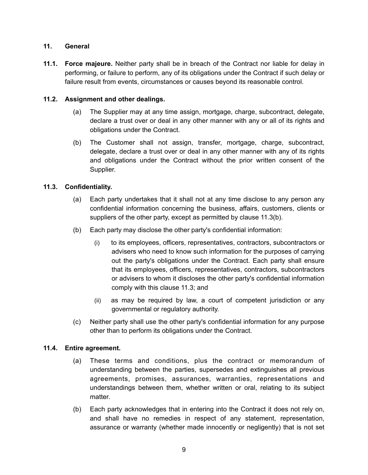## <span id="page-9-0"></span>**11. General**

**11.1. Force majeure.** Neither party shall be in breach of the Contract nor liable for delay in performing, or failure to perform, any of its obligations under the Contract if such delay or failure result from events, circumstances or causes beyond its reasonable control.

## **11.2. Assignment and other dealings.**

- (a) The Supplier may at any time assign, mortgage, charge, subcontract, delegate, declare a trust over or deal in any other manner with any or all of its rights and obligations under the Contract.
- (b) The Customer shall not assign, transfer, mortgage, charge, subcontract, delegate, declare a trust over or deal in any other manner with any of its rights and obligations under the Contract without the prior written consent of the Supplier.

## **11.3. Confidentiality.**

- <span id="page-9-2"></span>(a) Each party undertakes that it shall not at any time disclose to any person any confidential information concerning the business, affairs, customers, clients or suppliers of the other party, except as permitted by clause [11.3\(b\).](#page-9-1)
- <span id="page-9-1"></span>(b) Each party may disclose the other party's confidential information:
	- (i) to its employees, officers, representatives, contractors, subcontractors or advisers who need to know such information for the purposes of carrying out the party's obligations under the Contract. Each party shall ensure that its employees, officers, representatives, contractors, subcontractors or advisers to whom it discloses the other party's confidential information comply with this clause [11.3;](#page-9-2) and
	- (ii) as may be required by law, a court of competent jurisdiction or any governmental or regulatory authority.
- (c) Neither party shall use the other party's confidential information for any purpose other than to perform its obligations under the Contract.

#### **11.4. Entire agreement.**

- (a) These terms and conditions, plus the contract or memorandum of understanding between the parties, supersedes and extinguishes all previous agreements, promises, assurances, warranties, representations and understandings between them, whether written or oral, relating to its subject matter.
- (b) Each party acknowledges that in entering into the Contract it does not rely on, and shall have no remedies in respect of any statement, representation, assurance or warranty (whether made innocently or negligently) that is not set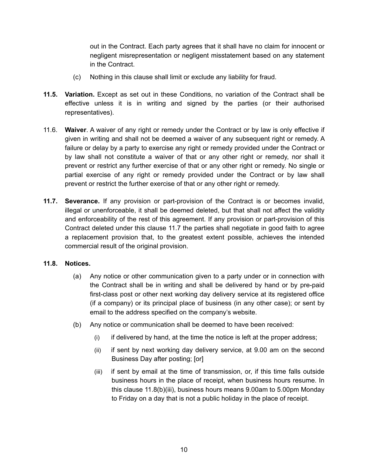out in the Contract. Each party agrees that it shall have no claim for innocent or negligent misrepresentation or negligent misstatement based on any statement in the Contract.

- <span id="page-10-0"></span>(c) Nothing in this clause shall limit or exclude any liability for fraud.
- **11.5. Variation.** Except as set out in these Conditions, no variation of the Contract shall be effective unless it is in writing and signed by the parties (or their authorised representatives).
- 11.6. **Waiver**. A waiver of any right or remedy under the Contract or by law is only effective if given in writing and shall not be deemed a waiver of any subsequent right or remedy. A failure or delay by a party to exercise any right or remedy provided under the Contract or by law shall not constitute a waiver of that or any other right or remedy, nor shall it prevent or restrict any further exercise of that or any other right or remedy. No single or partial exercise of any right or remedy provided under the Contract or by law shall prevent or restrict the further exercise of that or any other right or remedy.
- <span id="page-10-1"></span>**11.7. Severance.** If any provision or part-provision of the Contract is or becomes invalid, illegal or unenforceable, it shall be deemed deleted, but that shall not affect the validity and enforceability of the rest of this agreement. If any provision or part-provision of this Contract deleted under this clause [11.7](#page-10-1) the parties shall negotiate in good faith to agree a replacement provision that, to the greatest extent possible, achieves the intended commercial result of the original provision.

#### **11.8. Notices.**

- <span id="page-10-3"></span>(a) Any notice or other communication given to a party under or in connection with the Contract shall be in writing and shall be delivered by hand or by pre-paid first-class post or other next working day delivery service at its registered office (if a company) or its principal place of business (in any other case); or sent by email to the address specified on the company's website.
- <span id="page-10-2"></span>(b) Any notice or communication shall be deemed to have been received:
	- $(i)$  if delivered by hand, at the time the notice is left at the proper address;
	- (ii) if sent by next working day delivery service, at 9.00 am on the second Business Day after posting; [or]
	- (iii) if sent by email at the time of transmission, or, if this time falls outside business hours in the place of receipt, when business hours resume. In this clause [11.8\(b\)\(iii\),](#page-10-2) business hours means 9.00am to 5.00pm Monday to Friday on a day that is not a public holiday in the place of receipt.